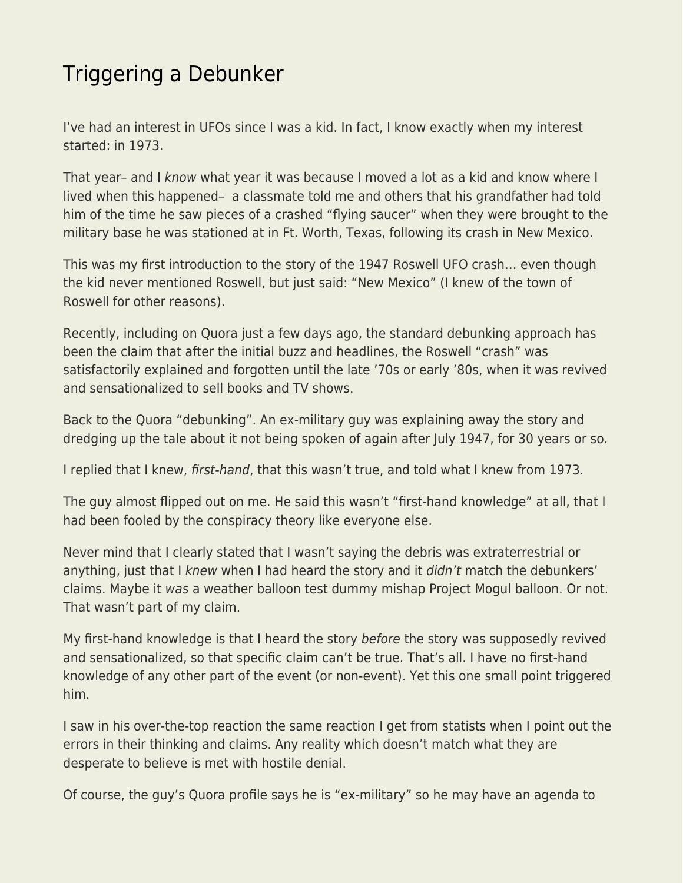## [Triggering a Debunker](https://everything-voluntary.com/triggering-a-debunker)

I've had an interest in UFOs since I was a kid. In fact, I know exactly when my interest started: in 1973.

That year– and I know what year it was because I moved a lot as a kid and know where I lived when this happened– a classmate told me and others that his grandfather had told him of the time he saw pieces of a crashed "flying saucer" when they were brought to the military base he was stationed at in Ft. Worth, Texas, following its crash in New Mexico.

This was my first introduction to the story of the 1947 Roswell UFO crash… even though the kid never mentioned Roswell, but just said: "New Mexico" (I knew of the town of Roswell for other reasons).

Recently, including on Quora just a few days ago, the standard debunking approach has been the claim that after the initial buzz and headlines, the Roswell "crash" was satisfactorily explained and forgotten until the late '70s or early '80s, when it was revived and sensationalized to sell books and TV shows.

Back to the Quora "debunking". An ex-military guy was explaining away the story and dredging up the tale about it not being spoken of again after July 1947, for 30 years or so.

I replied that I knew, first-hand, that this wasn't true, and told what I knew from 1973.

The guy almost flipped out on me. He said this wasn't "first-hand knowledge" at all, that I had been fooled by the conspiracy theory like everyone else.

Never mind that I clearly stated that I wasn't saying the debris was extraterrestrial or anything, just that I knew when I had heard the story and it *didn't* match the debunkers' claims. Maybe it was a weather balloon test dummy mishap Project Mogul balloon. Or not. That wasn't part of my claim.

My first-hand knowledge is that I heard the story before the story was supposedly revived and sensationalized, so that specific claim can't be true. That's all. I have no first-hand knowledge of any other part of the event (or non-event). Yet this one small point triggered him.

I saw in his over-the-top reaction the same reaction I get from statists when I point out the errors in their thinking and claims. Any reality which doesn't match what they are desperate to believe is met with hostile denial.

Of course, the guy's Quora profile says he is "ex-military" so he may have an agenda to